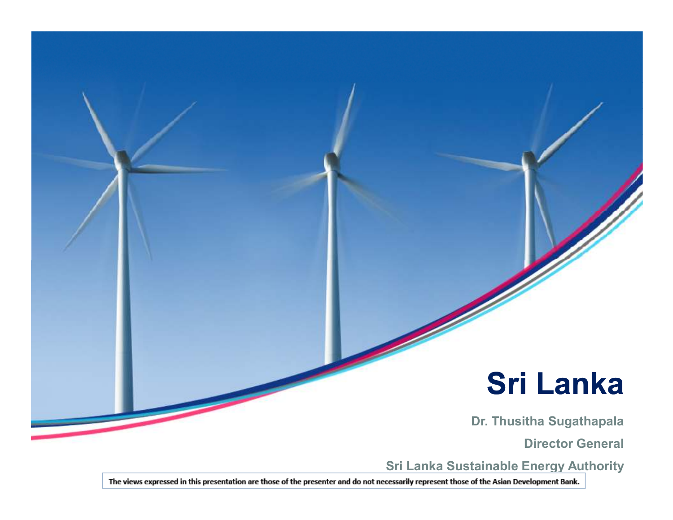### **Sri Lanka**

**Dr. Thusitha Sugathapala**

**Director General**

**Sri Lanka Sustainable Energy Authority** 

The views expressed in this presentation are those of the presenter and do not necessarily represent those of the Asian Development Bank.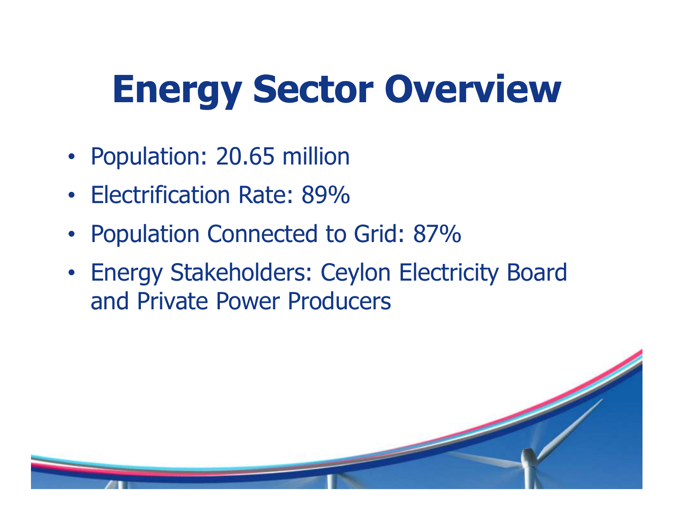# **Energy Sector Overview**

- Population: 20.65 million
- •Electrification Rate: 89%
- Population Connected to Grid: 87%
- Energy Stakeholders: Ceylon Electricity Board and Private Power Producers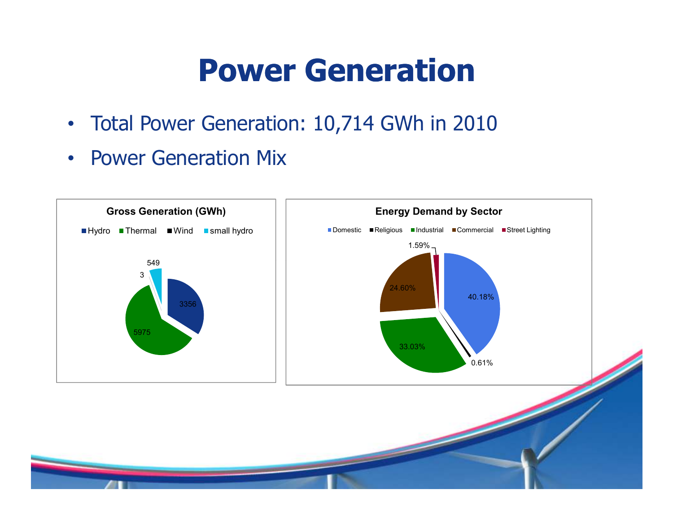### **Power Generation**

- Total Power Generation: 10,714 GWh in 2010
- Power Generation Mix

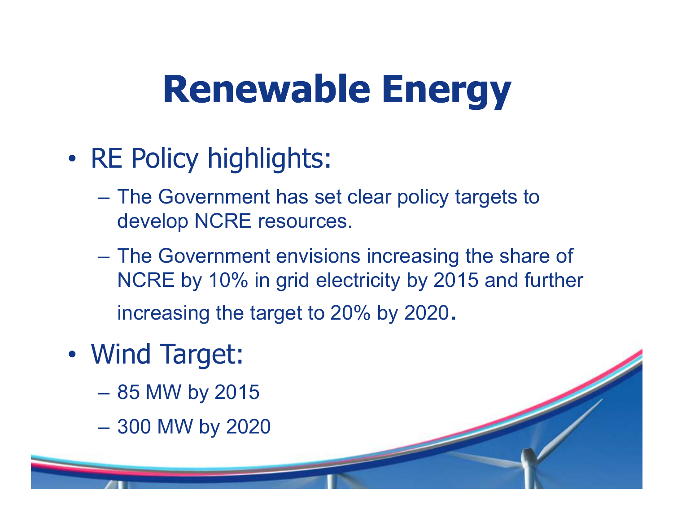## **Renewable Energy**

- •• RE Policy highlights:
	- –The Government has set clear policy targets to develop NCRE resources.
	- The Government envisions increasing the share of NCRE by 10% in grid electricity by 2015 and further increasing the target to 20% by 2020.
- • Wind Target:
	- 85 MW by 2015
	- 300 MW by 2020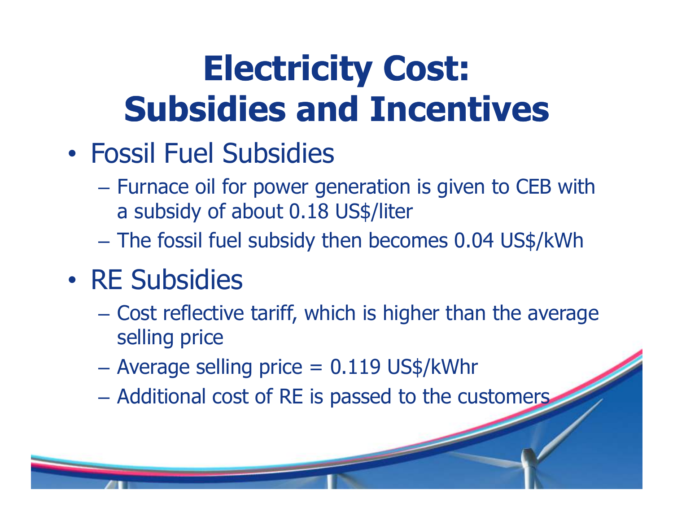## **Electricity Cost: Subsidies and Incentives**

- • Fossil Fuel Subsidies
	- Furnace oil for power generation is given to CEB with a subsidy of about 0.18 US\$/liter
	- The fossil fuel subsidy then becomes 0.04 US\$/kWh
- •• RE Subsidies
	- –- Cost reflective tariff, which is higher than the average selling price
	- $\mathcal{L}_{\mathcal{A}}$  , and the set of the set of the set of the set of the set of the set of the set of the set of the set of the set of the set of the set of the set of the set of the set of the set of the set of the set of th  $-$  Average selling price  $= 0.119$  US\$/kWhr
	- Additional cost of RE is passed to the customers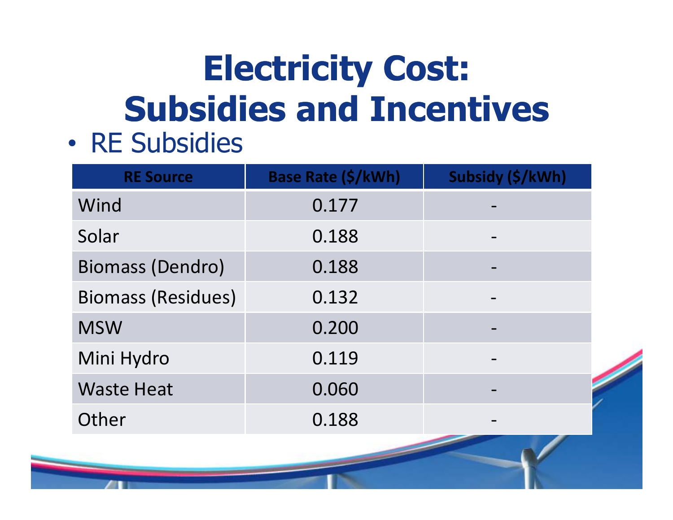## **Electricity Cost: Subsidies and Incentives**• RE Subsidies

•

| <b>RE Source</b>          | Base Rate (\$/kWh) | Subsidy (\$/kWh) |
|---------------------------|--------------------|------------------|
| Wind                      | 0.177              |                  |
| Solar                     | 0.188              |                  |
| <b>Biomass (Dendro)</b>   | 0.188              |                  |
| <b>Biomass (Residues)</b> | 0.132              |                  |
| <b>MSW</b>                | 0.200              |                  |
| Mini Hydro                | 0.119              |                  |
| <b>Waste Heat</b>         | 0.060              |                  |
| Other                     | 0.188              |                  |
|                           |                    |                  |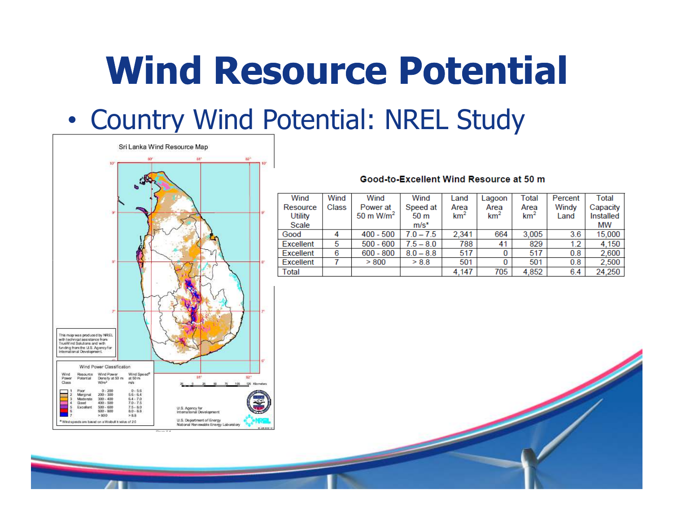## **Wind Resource Potential**

### •• Country Wind Potential: NREL Study



#### Good-to-Excellent Wind Resource at 50 m

| Wind           | Wind  | Wind                  | Wind            | Land            | Lagoon          | Total           | Percent | Total     |
|----------------|-------|-----------------------|-----------------|-----------------|-----------------|-----------------|---------|-----------|
| Resource       | Class | Power at              | Speed at        | Area            | Area            | Area            | Windy   | Capacity  |
| <b>Utility</b> |       | 50 m W/m <sup>2</sup> | 50 <sub>m</sub> | km <sup>2</sup> | km <sup>2</sup> | km <sup>2</sup> | Land    | Installed |
| Scale          |       |                       | $m/s^*$         |                 |                 |                 |         | МW        |
| Good           |       | $400 - 500$           | $7.0 - 7.5$     | 2.341           | 664             | 3.005           | 3.6     | 15,000    |
| Excellent      | 5     | $500 - 600$           | $7.5 - 8.0$     | 788             | 41              | 829             | 1.2     | 4.150     |
| Excellent      | 6     | $600 - 800$           | $8.0 - 8.8$     | 517             |                 | 517             | 0.8     | 2,600     |
| Excellent      |       | > 800                 | > 8.8           | 501             | 0               | 501             | 0.8     | 2.500     |
| Total          |       |                       |                 | 4.147           | 705             | 4.852           | 6.4     | 24.250    |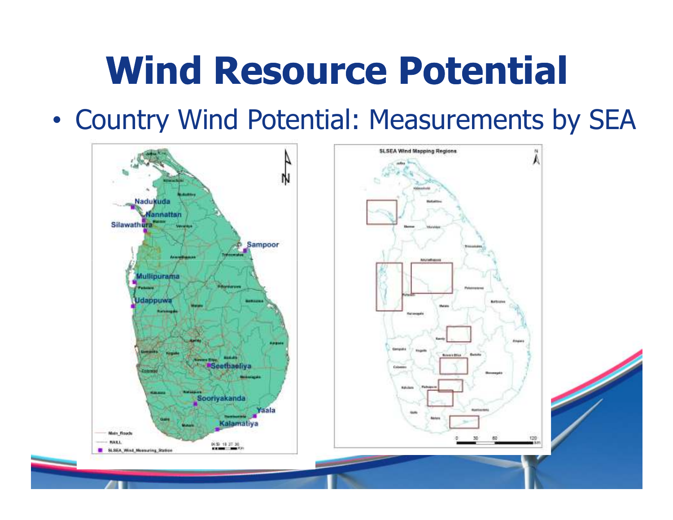## **Wind Resource Potential**

•Country Wind Potential: Measurements by SEA

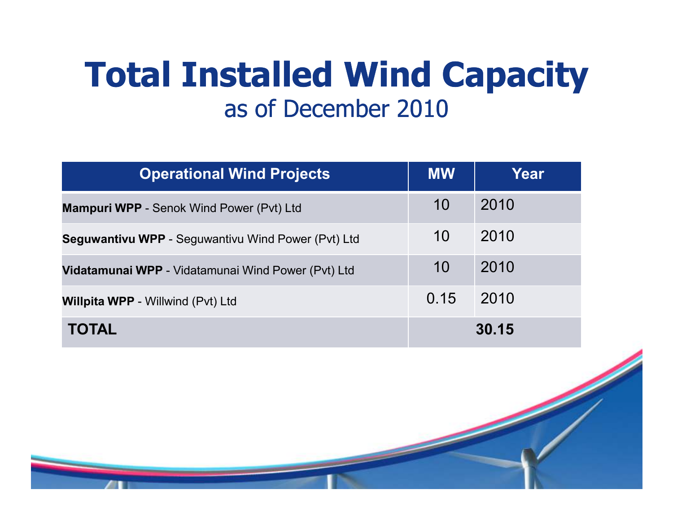### **Total Installed Wind Capacity**as of December 2010

| <b>Operational Wind Projects</b>                          | <b>MW</b> | Year  |
|-----------------------------------------------------------|-----------|-------|
| <b>Mampuri WPP</b> - Senok Wind Power (Pvt) Ltd           | 10        | 2010  |
| <b>Seguwantivu WPP</b> - Seguwantivu Wind Power (Pvt) Ltd | 10        | 2010  |
| <b>Vidatamunai WPP</b> - Vidatamunai Wind Power (Pvt) Ltd | 10        | 2010  |
| <b>Willpita WPP</b> - Willwind (Pvt) Ltd                  | 0.15      | 2010  |
| <b>TOTAL</b>                                              |           | 30.15 |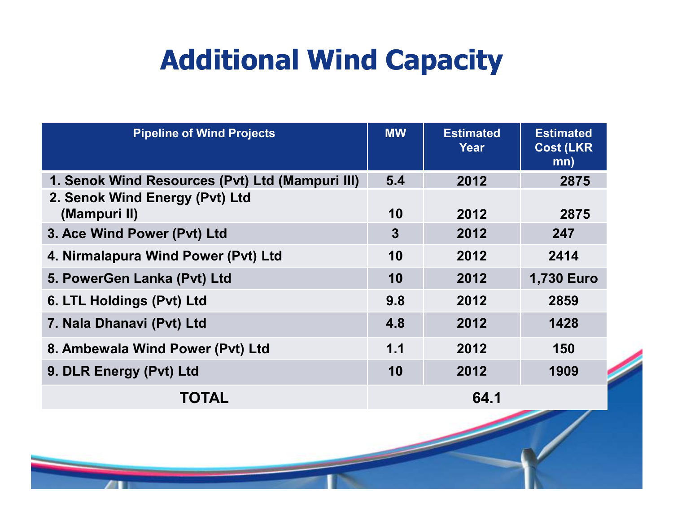### **Additional Wind Capacity**

| <b>Pipeline of Wind Projects</b>                | <b>MW</b>      | <b>Estimated</b><br>Year | <b>Estimated</b><br><b>Cost (LKR)</b><br>mn) |
|-------------------------------------------------|----------------|--------------------------|----------------------------------------------|
| 1. Senok Wind Resources (Pvt) Ltd (Mampuri III) | 5.4            | 2012                     | 2875                                         |
| 2. Senok Wind Energy (Pvt) Ltd<br>(Mampuri II)  | 10             | 2012                     | 2875                                         |
| 3. Ace Wind Power (Pvt) Ltd                     | $\overline{3}$ | 2012                     | 247                                          |
| 4. Nirmalapura Wind Power (Pvt) Ltd             | 10             | 2012                     | 2414                                         |
| 5. PowerGen Lanka (Pvt) Ltd                     | 10             | 2012                     | <b>1,730 Euro</b>                            |
| 6. LTL Holdings (Pvt) Ltd                       | 9.8            | 2012                     | 2859                                         |
| 7. Nala Dhanavi (Pvt) Ltd                       | 4.8            | 2012                     | 1428                                         |
| 8. Ambewala Wind Power (Pvt) Ltd                | 1.1            | 2012                     | 150                                          |
| 9. DLR Energy (Pvt) Ltd                         | 10             | 2012                     | 1909                                         |
| <b>TOTAL</b>                                    |                | 64.1                     |                                              |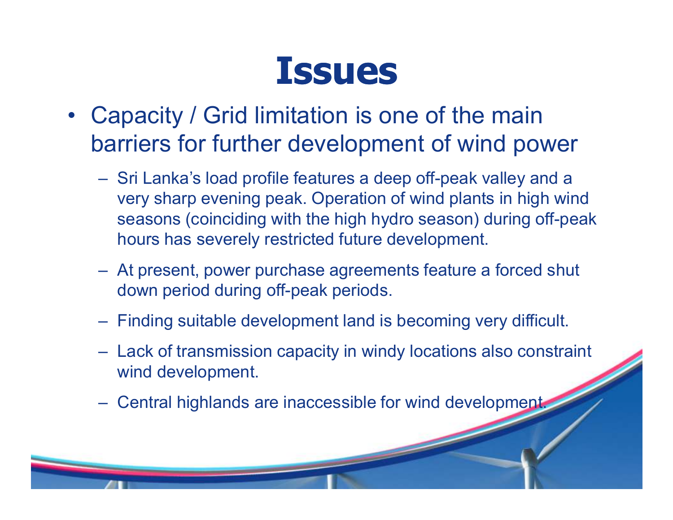### **Issues**

- Capacity / Grid limitation is one of the main barriers for further development of wind power
	- Sri Lanka's load profile features a deep off-peak valley and a<br>warvehous avening neak Operation of wind plants in high win very sharp evening peak. Operation of wind plants in high wind seasons (coinciding with the high hydro season) during off-peak hours has severely restricted future development.
	- At present, power purchase agreements feature a forced shut down period during off-peak periods.
	- Finding suitable development land is becoming very difficult.
	- Lack of transmission capacity in windy locations also constraint wind development.
	- Central highlands are inaccessible for wind development.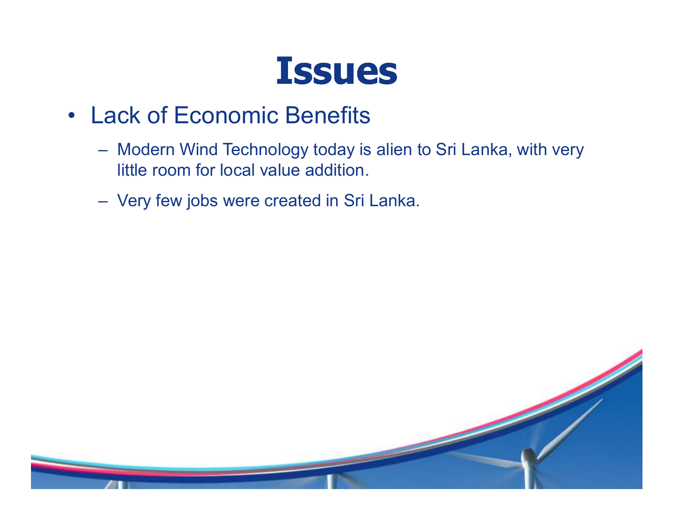

- Lack of Economic Benefits
	- Modern Wind Technology today is alien to Sri Lanka, with very little room for local value addition.
	- Very few jobs were created in Sri Lanka.